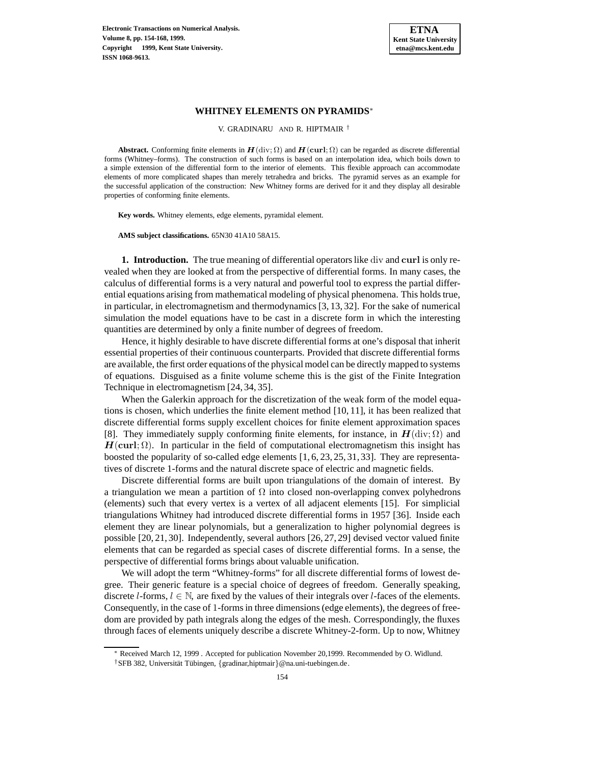

# **WHITNEY ELEMENTS ON PYRAMIDS**<sup>∗</sup>

V. GRADINARU AND R. HIPTMAIR †

**Abstract.** Conforming finite elements in  $H(\text{div}; \Omega)$  and  $H(\text{curl}; \Omega)$  can be regarded as discrete differential forms (Whitney–forms). The construction of such forms is based on an interpolation idea, which boils down to a simple extension of the differential form to the interior of elements. This flexible approach can accommodate elements of more complicated shapes than merely tetrahedra and bricks. The pyramid serves as an example for the successful application of the construction: New Whitney forms are derived for it and they display all desirable properties of conforming finite elements.

**Key words.** Whitney elements, edge elements, pyramidal element.

**AMS subject classifications.** 65N30 41A10 58A15.

**1. Introduction.** The true meaning of differential operators like div and **curl** is only revealed when they are looked at from the perspective of differential forms. In many cases, the calculus of differential forms is a very natural and powerful tool to express the partial differential equations arising from mathematical modeling of physical phenomena. This holds true, in particular, in electromagnetism and thermodynamics [3, 13, 32]. For the sake of numerical simulation the model equations have to be cast in a discrete form in which the interesting quantities are determined by only a finite number of degrees of freedom.

Hence, it highly desirable to have discrete differential forms at one's disposal that inherit essential properties of their continuous counterparts. Provided that discrete differential forms are available, the first order equations of the physical model can be directly mapped to systems of equations. Disguised as a finite volume scheme this is the gist of the Finite Integration Technique in electromagnetism [24, 34, 35].

When the Galerkin approach for the discretization of the weak form of the model equations is chosen, which underlies the finite element method [10, 11], it has been realized that discrete differential forms supply excellent choices for finite element approximation spaces [8]. They immediately supply conforming finite elements, for instance, in  $H(\text{div}; \Omega)$  and  $H$ (curl;  $\Omega$ ). In particular in the field of computational electromagnetism this insight has boosted the popularity of so-called edge elements  $[1, 6, 23, 25, 31, 33]$ . They are representatives of discrete 1-forms and the natural discrete space of electric and magnetic fields.

Discrete differential forms are built upon triangulations of the domain of interest. By a triangulation we mean a partition of  $\Omega$  into closed non-overlapping convex polyhedrons (elements) such that every vertex is a vertex of all adjacent elements [15]. For simplicial triangulations Whitney had introduced discrete differential forms in 1957 [36]. Inside each element they are linear polynomials, but a generalization to higher polynomial degrees is possible [20, 21, 30]. Independently, several authors [26, 27, 29] devised vector valued finite elements that can be regarded as special cases of discrete differential forms. In a sense, the perspective of differential forms brings about valuable unification.

We will adopt the term "Whitney-forms" for all discrete differential forms of lowest degree. Their generic feature is a special choice of degrees of freedom. Generally speaking, discrete *l*-forms,  $l \in \mathbb{N}$ , are fixed by the values of their integrals over *l*-faces of the elements. Consequently, in the case of 1-forms in three dimensions (edge elements), the degrees of freedom are provided by path integrals along the edges of the mesh. Correspondingly, the fluxes through faces of elements uniquely describe a discrete Whitney-2-form. Up to now, Whitney

<sup>∗</sup> Received March 12, 1999 . Accepted for publication November 20,1999. Recommended by O. Widlund.

<sup>&</sup>lt;sup>†</sup>SFB 382, Universität Tübingen, {gradinar,hiptmair}@na.uni-tuebingen.de.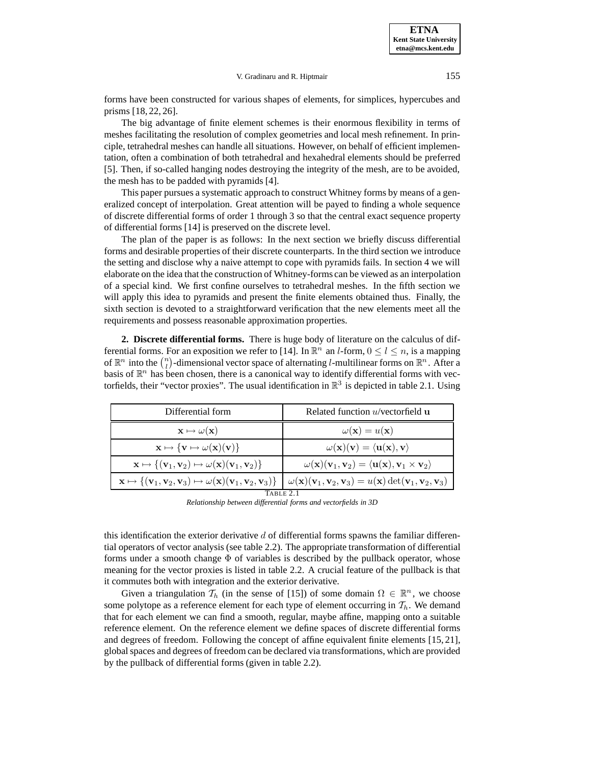forms have been constructed for various shapes of elements, for simplices, hypercubes and prisms [18, 22, 26].

The big advantage of finite element schemes is their enormous flexibility in terms of meshes facilitating the resolution of complex geometries and local mesh refinement. In principle, tetrahedral meshes can handle all situations. However, on behalf of efficient implementation, often a combination of both tetrahedral and hexahedral elements should be preferred [5]. Then, if so-called hanging nodes destroying the integrity of the mesh, are to be avoided, the mesh has to be padded with pyramids [4].

This paper pursues a systematic approach to construct Whitney forms by means of a generalized concept of interpolation. Great attention will be payed to finding a whole sequence of discrete differential forms of order 1 through 3 so that the central exact sequence property of differential forms [14] is preserved on the discrete level.

The plan of the paper is as follows: In the next section we briefly discuss differential forms and desirable properties of their discrete counterparts. In the third section we introduce the setting and disclose why a naive attempt to cope with pyramids fails. In section 4 we will elaborate on the idea that the construction of Whitney-forms can be viewed as an interpolation of a special kind. We first confine ourselves to tetrahedral meshes. In the fifth section we will apply this idea to pyramids and present the finite elements obtained thus. Finally, the sixth section is devoted to a straightforward verification that the new elements meet all the requirements and possess reasonable approximation properties.

**2. Discrete differential forms.** There is huge body of literature on the calculus of differential forms. For an exposition we refer to [14]. In  $\mathbb{R}^n$  an *l*-form,  $0 \le l \le n$ , is a mapping of  $\mathbb{R}^n$  into the  $\binom{n}{l}$ -dimensional vector space of alternating *l*-multilinear forms on  $\mathbb{R}^n$ . After a basis of  $\mathbb{R}^n$  has been chosen, there is a canonical way to identify differential forms with vectorfields, their "vector proxies". The usual identification in  $\mathbb{R}^3$  is depicted in table 2.1. Using

| Differential form                                                                                             | Related function $u$ /vectorfield $u$                                                                                                                                                                                                                                               |  |  |  |  |  |
|---------------------------------------------------------------------------------------------------------------|-------------------------------------------------------------------------------------------------------------------------------------------------------------------------------------------------------------------------------------------------------------------------------------|--|--|--|--|--|
| $\mathbf{x} \mapsto \omega(\mathbf{x})$                                                                       | $\omega(\mathbf{x}) = u(\mathbf{x})$                                                                                                                                                                                                                                                |  |  |  |  |  |
| $\mathbf{x} \mapsto {\mathbf{v} \mapsto \omega(\mathbf{x})(\mathbf{v})}$                                      | $\omega(\mathbf{x})(\mathbf{v}) = \langle \mathbf{u}(\mathbf{x}), \mathbf{v} \rangle$                                                                                                                                                                                               |  |  |  |  |  |
| $\mathbf{x} \mapsto \{(\mathbf{v}_1, \mathbf{v}_2) \mapsto \omega(\mathbf{x})(\mathbf{v}_1, \mathbf{v}_2)\}\$ | $\omega(\mathbf{x})(\mathbf{v}_1,\mathbf{v}_2)=\langle \mathbf{u}(\mathbf{x}),\mathbf{v}_1 \times \mathbf{v}_2 \rangle$                                                                                                                                                             |  |  |  |  |  |
|                                                                                                               | $\mathbf{x} \mapsto \{(\mathbf{v}_1, \mathbf{v}_2, \mathbf{v}_3) \mapsto \omega(\mathbf{x})(\mathbf{v}_1, \mathbf{v}_2, \mathbf{v}_3)\}\ \end{bmatrix} \omega(\mathbf{x})(\mathbf{v}_1, \mathbf{v}_2, \mathbf{v}_3) = u(\mathbf{x}) \det(\mathbf{v}_1, \mathbf{v}_2, \mathbf{v}_3)$ |  |  |  |  |  |
| TABLE 2.1                                                                                                     |                                                                                                                                                                                                                                                                                     |  |  |  |  |  |

*Relationship between differential forms and vectorfields in 3D*

this identification the exterior derivative  $d$  of differential forms spawns the familiar differential operators of vector analysis (see table 2.2). The appropriate transformation of differential forms under a smooth change  $\Phi$  of variables is described by the pullback operator, whose meaning for the vector proxies is listed in table 2.2. A crucial feature of the pullback is that it commutes both with integration and the exterior derivative.

Given a triangulation  $\mathcal{T}_h$  (in the sense of [15]) of some domain  $\Omega \in \mathbb{R}^n$ , we choose some polytope as a reference element for each type of element occurring in  $\mathcal{T}_h$ . We demand that for each element we can find a smooth, regular, maybe affine, mapping onto a suitable reference element. On the reference element we define spaces of discrete differential forms and degrees of freedom. Following the concept of affine equivalent finite elements [15, 21], global spaces and degrees of freedom can be declared via transformations, which are provided by the pullback of differential forms (given in table 2.2).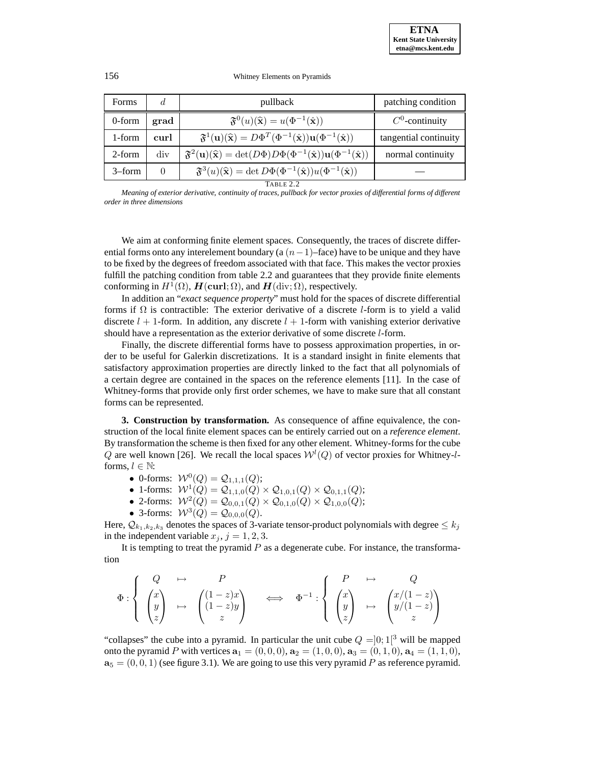156 Whitney Elements on Pyramids

| Forms     | d        | pullback                                                                                                                                            | patching condition    |  |  |
|-----------|----------|-----------------------------------------------------------------------------------------------------------------------------------------------------|-----------------------|--|--|
| 0-form    | grad     | $\mathfrak{F}^0(u)(\widehat{\mathbf{x}}) = u(\Phi^{-1}(\widehat{\mathbf{x}}))$                                                                      | $C^0$ -continuity     |  |  |
| 1-form    | curl     | $\mathfrak{F}^1(\mathbf{u})(\widehat{\mathbf{x}}) = D\Phi^T(\Phi^{-1}(\widehat{\mathbf{x}}))\mathbf{u}(\Phi^{-1}(\widehat{\mathbf{x}}))$            | tangential continuity |  |  |
| 2-form    | div      | $\mathfrak{F}^2(\mathbf{u})(\widehat{\mathbf{x}}) = \det(D\Phi) D\Phi(\Phi^{-1}(\widehat{\mathbf{x}})) \mathbf{u}(\Phi^{-1}(\widehat{\mathbf{x}}))$ | normal continuity     |  |  |
| $3$ –form | $\theta$ | $\mathfrak{F}^{3}(u)(\widehat{\mathbf{x}})=\det D\Phi(\Phi^{-1}(\widehat{\mathbf{x}}))u(\Phi^{-1}(\widehat{\mathbf{x}}))$                           |                       |  |  |
| TABLE 2.2 |          |                                                                                                                                                     |                       |  |  |

*Meaning of exterior derivative, continuity of traces, pullback for vector proxies of differential forms of different order in three dimensions*

We aim at conforming finite element spaces. Consequently, the traces of discrete differential forms onto any interelement boundary (a  $(n-1)$ –face) have to be unique and they have to be fixed by the degrees of freedom associated with that face. This makes the vector proxies fulfill the patching condition from table 2.2 and guarantees that they provide finite elements conforming in  $H^1(\Omega)$ ,  $H(\text{curl}; \Omega)$ , and  $H(\text{div}; \Omega)$ , respectively.

In addition an "*exact sequence property*" must hold for the spaces of discrete differential forms if  $\Omega$  is contractible: The exterior derivative of a discrete l-form is to yield a valid discrete  $l + 1$ -form. In addition, any discrete  $l + 1$ -form with vanishing exterior derivative should have a representation as the exterior derivative of some discrete l-form.

Finally, the discrete differential forms have to possess approximation properties, in order to be useful for Galerkin discretizations. It is a standard insight in finite elements that satisfactory approximation properties are directly linked to the fact that all polynomials of a certain degree are contained in the spaces on the reference elements [11]. In the case of Whitney-forms that provide only first order schemes, we have to make sure that all constant forms can be represented.

**3. Construction by transformation.** As consequence of affine equivalence, the construction of the local finite element spaces can be entirely carried out on a *reference element*. By transformation the scheme is then fixed for any other element. Whitney-forms for the cube Q are well known [26]. We recall the local spaces  $W^{l}(Q)$  of vector proxies for Whitney-*l*forms,  $l \in \mathbb{N}$ :

- 0-forms:  $W^{0}(Q) = Q_{1,1,1}(Q);$
- 1-forms:  $W^1(Q) = Q_{1,1,0}(Q) \times Q_{1,0,1}(Q) \times Q_{0,1,1}(Q);$
- 2-forms:  $W^2(Q) = Q_{0,0,1}(Q) \times Q_{0,1,0}(Q) \times Q_{1,0,0}(Q);$
- 3-forms:  $W^3(Q) = Q_{0,0,0}(Q)$ .

Here,  $\mathcal{Q}_{k_1,k_2,k_3}$  denotes the spaces of 3-variate tensor-product polynomials with degree  $\leq k_i$ in the independent variable  $x_j$ ,  $j = 1, 2, 3$ .

It is tempting to treat the pyramid  $P$  as a degenerate cube. For instance, the transformation

$$
\Phi : \left\{ \begin{array}{ccc} Q & \mapsto & P \\ \begin{pmatrix} x \\ y \\ z \end{pmatrix} & \mapsto & \begin{pmatrix} (1-z)x \\ (1-z)y \\ z \end{pmatrix} & \Longleftrightarrow & \Phi^{-1} : \left\{ \begin{array}{ccc} P & \mapsto & Q \\ \begin{pmatrix} x \\ y \\ z \end{pmatrix} & \mapsto & \begin{pmatrix} x/(1-z) \\ y/(1-z) \\ z \end{pmatrix} \end{array} \right\} \right.
$$

"collapses" the cube into a pyramid. In particular the unit cube  $Q = ]0;1[^3$  will be mapped onto the pyramid P with vertices  $\mathbf{a}_1 = (0, 0, 0), \mathbf{a}_2 = (1, 0, 0), \mathbf{a}_3 = (0, 1, 0), \mathbf{a}_4 = (1, 1, 0),$  $\mathbf{a}_5 = (0, 0, 1)$  (see figure 3.1). We are going to use this very pyramid P as reference pyramid.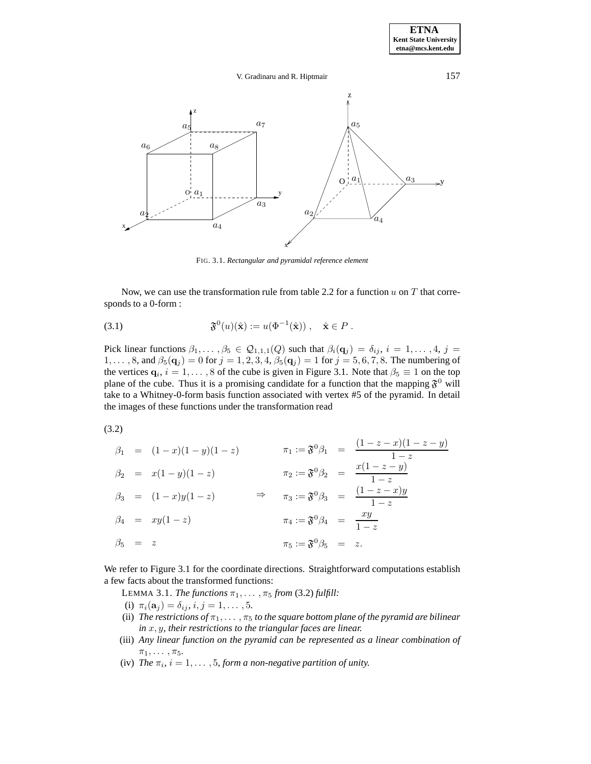# V. Gradinaru and R. Hiptmair 157



FIG. 3.1. *Rectangular and pyramidal reference element*

Now, we can use the transformation rule from table 2.2 for a function  $u$  on  $T$  that corresponds to a 0-form :

$$
\mathfrak{F}^0(u)(\hat{\mathbf{x}}) := u(\Phi^{-1}(\hat{\mathbf{x}})), \quad \hat{\mathbf{x}} \in P.
$$

Pick linear functions  $\beta_1,\ldots,\beta_5 \in \mathcal{Q}_{1,1,1}(Q)$  such that  $\beta_i(\mathbf{q}_j) = \delta_{ij}, i = 1,\ldots,4, j = 1$ 1,..., 8, and  $\beta_5(\mathbf{q}_j) = 0$  for  $j = 1, 2, 3, 4, \beta_5(\mathbf{q}_j) = 1$  for  $j = 5, 6, 7, 8$ . The numbering of the vertices  $\mathbf{q}_i$ ,  $i = 1, \ldots, 8$  of the cube is given in Figure 3.1. Note that  $\beta_5 \equiv 1$  on the top plane of the cube. Thus it is a promising candidate for a function that the mapping  $\mathfrak{F}^0$  will take to a Whitney-0-form basis function associated with vertex #5 of the pyramid. In detail the images of these functions under the transformation read

(3.2)

|               | $\beta_1 = (1-x)(1-y)(1-z)$ |                                                           | $\pi_1 := \mathfrak{F}^0 \beta_1 = \frac{(1-z-x)(1-z-y)}{1-z}$ |
|---------------|-----------------------------|-----------------------------------------------------------|----------------------------------------------------------------|
|               |                             |                                                           |                                                                |
|               | $\beta_2 = x(1-y)(1-z)$     |                                                           | $\pi_2 := \mathfrak{F}^0 \beta_2 = \frac{x(1-z-y)}{1-z}$       |
|               | $\beta_3 = (1-x)y(1-z)$     |                                                           | $\pi_3 := \mathfrak{F}^0 \beta_3 = \frac{(1-z-x)y}{1-z}$       |
|               | $\beta_4 = xy(1-z)$         | $\pi_4:=\mathfrak{F}^0\beta_4\quad =\quad \frac{xy}{1-z}$ |                                                                |
| $\beta_5 = z$ |                             | $\pi_5 := \mathfrak{F}^0 \beta_5 = z.$                    |                                                                |

We refer to Figure 3.1 for the coordinate directions. Straightforward computations establish a few facts about the transformed functions:

LEMMA 3.1. *The functions*  $\pi_1, \ldots, \pi_5$  *from* (3.2) *fulfill:* 

(i)  $\pi_i(\mathbf{a}_j) = \delta_{ij}, i, j = 1, \ldots, 5$ .

- (ii) *The restrictions of*  $\pi_1, \ldots, \pi_5$  *to the square bottom plane of the pyramid are bilinear in* x,y*, their restrictions to the triangular faces are linear.*
- (iii) *Any linear function on the pyramid can be represented as a linear combination of*  $\pi_1, \ldots, \pi_5$ .
- (iv) *The*  $\pi_i$ ,  $i = 1, \ldots, 5$ , *form a non-negative partition of unity.*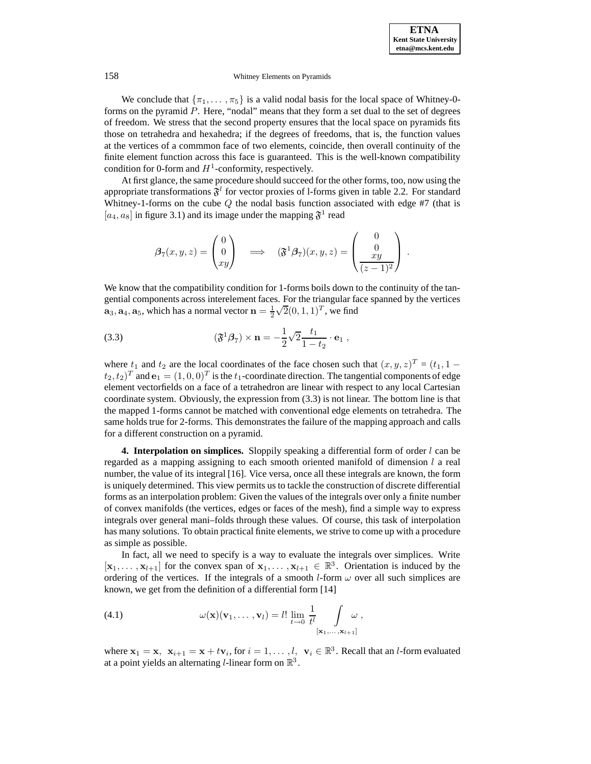We conclude that  $\{\pi_1,\ldots,\pi_5\}$  is a valid nodal basis for the local space of Whitney-0forms on the pyramid  $P$ . Here, "nodal" means that they form a set dual to the set of degrees of freedom. We stress that the second property ensures that the local space on pyramids fits those on tetrahedra and hexahedra; if the degrees of freedoms, that is, the function values at the vertices of a commmon face of two elements, coincide, then overall continuity of the finite element function across this face is guaranteed. This is the well-known compatibility condition for 0-form and  $H^1$ -conformity, respectively.

At first glance, the same procedure should succeed for the other forms, too, now using the appropriate transformations  $\mathfrak{F}^l$  for vector proxies of 1-forms given in table 2.2. For standard Whitney-1-forms on the cube  $Q$  the nodal basis function associated with edge #7 (that is  $[a_4, a_8]$  in figure 3.1) and its image under the mapping  $\mathfrak{F}^1$  read

$$
\beta_7(x, y, z) = \begin{pmatrix} 0 \\ 0 \\ xy \end{pmatrix} \implies (\mathfrak{F}^1 \beta_7)(x, y, z) = \begin{pmatrix} 0 \\ 0 \\ xy \\ (z - 1)^2 \end{pmatrix}.
$$

We know that the compatibility condition for 1-forms boils down to the continuity of the tangential components across interelement faces. For the triangular face spanned by the vertices  $\mathbf{a}_3, \mathbf{a}_4, \mathbf{a}_5$ , which has a normal vector  $\mathbf{n} = \frac{1}{2} \sqrt{2}(0, 1, 1)^T$ , we find

(3.3) 
$$
(\mathfrak{F}^1 \beta_7) \times \mathbf{n} = -\frac{1}{2} \sqrt{2} \frac{t_1}{1 - t_2} \cdot \mathbf{e}_1 ,
$$

where  $t_1$  and  $t_2$  are the local coordinates of the face chosen such that  $(x,y,z)^T = (t_1, 1 (t_2,t_2)^T$  and  $\mathbf{e}_1 = (1,0,0)^T$  is the  $t_1$ -coordinate direction. The tangential components of edge element vectorfields on a face of a tetrahedron are linear with respect to any local Cartesian coordinate system. Obviously, the expression from (3.3) is not linear. The bottom line is that the mapped 1-forms cannot be matched with conventional edge elements on tetrahedra. The same holds true for 2-forms. This demonstrates the failure of the mapping approach and calls for a different construction on a pyramid.

**4. Interpolation on simplices.** Sloppily speaking a differential form of order l can be regarded as a mapping assigning to each smooth oriented manifold of dimension l a real number, the value of its integral [16]. Vice versa, once all these integrals are known, the form is uniquely determined. This view permits us to tackle the construction of discrete differential forms as an interpolation problem: Given the values of the integrals over only a finite number of convex manifolds (the vertices, edges or faces of the mesh), find a simple way to express integrals over general mani–folds through these values. Of course, this task of interpolation has many solutions. To obtain practical finite elements, we strive to come up with a procedure as simple as possible.

In fact, all we need to specify is a way to evaluate the integrals over simplices. Write  $[\mathbf{x}_1,\ldots,\mathbf{x}_{l+1}]$  for the convex span of  $\mathbf{x}_1,\ldots,\mathbf{x}_{l+1} \in \mathbb{R}^3$ . Orientation is induced by the ordering of the vertices. If the integrals of a smooth *l*-form  $\omega$  over all such simplices are known, we get from the definition of a differential form [14]

(4.1) 
$$
\omega(\mathbf{x})(\mathbf{v}_1,\ldots,\mathbf{v}_l) = l! \lim_{t \to 0} \frac{1}{t^l} \int_{\substack{[\mathbf{x}_1,\ldots,\mathbf{x}_{l+1}]} } \omega,
$$

where  $\mathbf{x}_1 = \mathbf{x}, \ \mathbf{x}_{i+1} = \mathbf{x} + t\mathbf{v}_i$ , for  $i = 1, \ldots, l, \ \mathbf{v}_i \in \mathbb{R}^3$ . Recall that an *l*-form evaluated at a point yields an alternating *l*-linear form on  $\mathbb{R}^3$ .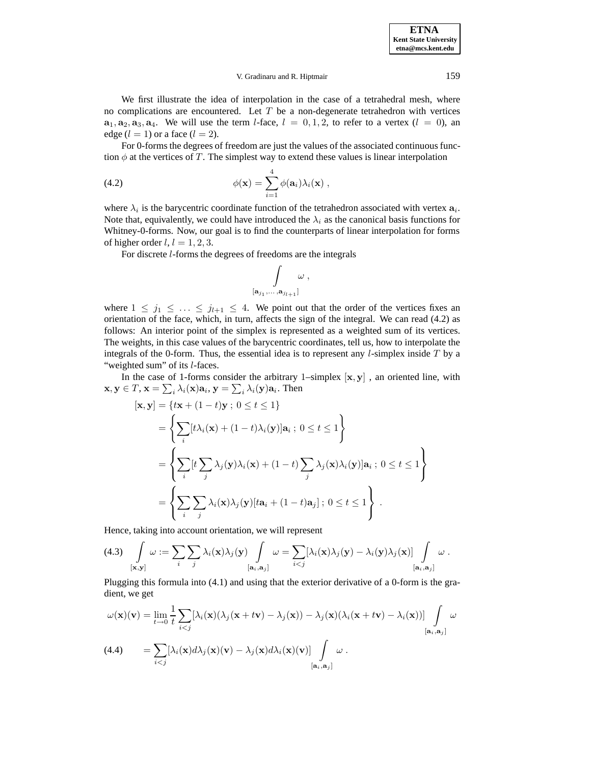# V. Gradinaru and R. Hiptmair 159

We first illustrate the idea of interpolation in the case of a tetrahedral mesh, where no complications are encountered. Let  $T$  be a non-degenerate tetrahedron with vertices  $\mathbf{a}_1, \mathbf{a}_2, \mathbf{a}_3, \mathbf{a}_4$ . We will use the term *l*-face,  $l = 0, 1, 2$ , to refer to a vertex  $(l = 0)$ , an edge  $(l = 1)$  or a face  $(l = 2)$ .

For 0-forms the degrees of freedom are just the values of the associated continuous function  $\phi$  at the vertices of T. The simplest way to extend these values is linear interpolation

(4.2) 
$$
\phi(\mathbf{x}) = \sum_{i=1}^{4} \phi(\mathbf{a}_i) \lambda_i(\mathbf{x}),
$$

where  $\lambda_i$  is the barycentric coordinate function of the tetrahedron associated with vertex  $\mathbf{a}_i$ . Note that, equivalently, we could have introduced the  $\lambda_i$  as the canonical basis functions for Whitney-0-forms. Now, our goal is to find the counterparts of linear interpolation for forms of higher order  $l, l = 1, 2, 3$ .

For discrete l-forms the degrees of freedoms are the integrals

$$
\int\limits_{[{\bf a}_{j_1},\ldots,{\bf a}_{j_{l+1}}]}\omega\ ,
$$

where  $1 \leq j_1 \leq \ldots \leq j_{l+1} \leq 4$ . We point out that the order of the vertices fixes an orientation of the face, which, in turn, affects the sign of the integral. We can read (4.2) as follows: An interior point of the simplex is represented as a weighted sum of its vertices. The weights, in this case values of the barycentric coordinates, tell us, how to interpolate the integrals of the 0-form. Thus, the essential idea is to represent any  $l$ -simplex inside  $T$  by a "weighted sum" of its *l*-faces.

In the case of 1-forms consider the arbitrary 1–simplex [**x**, **y**] , an oriented line, with  $\mathbf{x}, \mathbf{y} \in T, \mathbf{x} = \sum_i \lambda_i(\mathbf{x}) \mathbf{a}_i, \mathbf{y} = \sum_i \lambda_i(\mathbf{y}) \mathbf{a}_i$ . Then

$$
[\mathbf{x}, \mathbf{y}] = \{ t\mathbf{x} + (1-t)\mathbf{y} \; ; \; 0 \le t \le 1 \}
$$
\n
$$
= \left\{ \sum_{i} [t\lambda_i(\mathbf{x}) + (1-t)\lambda_i(\mathbf{y})] \mathbf{a}_i \; ; \; 0 \le t \le 1 \right\}
$$
\n
$$
= \left\{ \sum_{i} [t \sum_{j} \lambda_j(\mathbf{y})\lambda_i(\mathbf{x}) + (1-t) \sum_{j} \lambda_j(\mathbf{x})\lambda_i(\mathbf{y})] \mathbf{a}_i \; ; \; 0 \le t \le 1 \right\}
$$
\n
$$
= \left\{ \sum_{i} \sum_{j} \lambda_i(\mathbf{x})\lambda_j(\mathbf{y})[t\mathbf{a}_i + (1-t)\mathbf{a}_j] \; ; \; 0 \le t \le 1 \right\} .
$$

Hence, taking into account orientation, we will represent

$$
(4.3) \int_{[\mathbf{x},\mathbf{y}]} \omega := \sum_{i} \sum_{j} \lambda_i(\mathbf{x}) \lambda_j(\mathbf{y}) \int_{[\mathbf{a}_i,\mathbf{a}_j]} \omega = \sum_{i
$$

Plugging this formula into (4.1) and using that the exterior derivative of a 0-form is the gradient, we get

$$
\omega(\mathbf{x})(\mathbf{v}) = \lim_{t \to 0} \frac{1}{t} \sum_{i < j} [\lambda_i(\mathbf{x})(\lambda_j(\mathbf{x} + t\mathbf{v}) - \lambda_j(\mathbf{x})) - \lambda_j(\mathbf{x})(\lambda_i(\mathbf{x} + t\mathbf{v}) - \lambda_i(\mathbf{x}))] \int_{[\mathbf{a}_i, \mathbf{a}_j]} \omega
$$
\n
$$
(4.4) \qquad = \sum_{i < j} [\lambda_i(\mathbf{x}) d\lambda_j(\mathbf{x})(\mathbf{v}) - \lambda_j(\mathbf{x}) d\lambda_i(\mathbf{x})(\mathbf{v})] \int_{[\mathbf{a}_i, \mathbf{a}_j]} \omega.
$$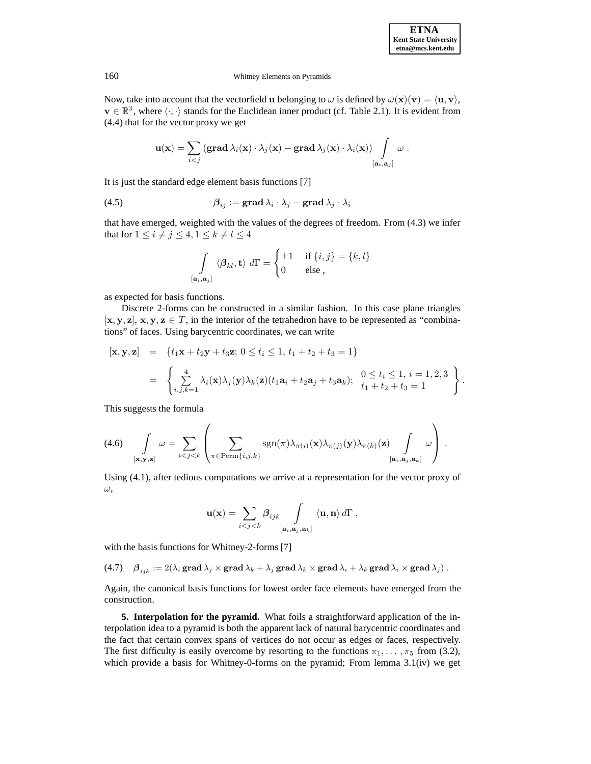.

# 160 Whitney Elements on Pyramids

Now, take into account that the vectorfield **u** belonging to  $\omega$  is defined by  $\omega(\mathbf{x})(\mathbf{v}) = \langle \mathbf{u}, \mathbf{v} \rangle$ ,  $\mathbf{v} \in \mathbb{R}^3$ , where  $\langle \cdot, \cdot \rangle$  stands for the Euclidean inner product (cf. Table 2.1). It is evident from (4.4) that for the vector proxy we get

$$
\mathbf{u}(\mathbf{x}) = \sum_{i < j} \left( \mathbf{grad} \, \lambda_i(\mathbf{x}) \cdot \lambda_j(\mathbf{x}) - \mathbf{grad} \, \lambda_j(\mathbf{x}) \cdot \lambda_i(\mathbf{x}) \right) \int\limits_{\left[\mathbf{a}_i, \mathbf{a}_j\right]} \omega \; .
$$

It is just the standard edge element basis functions [7]

(4.5) 
$$
\beta_{ij} := \text{grad } \lambda_i \cdot \lambda_j - \text{grad } \lambda_j \cdot \lambda_i
$$

that have emerged, weighted with the values of the degrees of freedom. From (4.3) we infer that for  $1 \leq i \neq j \leq 4, 1 \leq k \neq l \leq 4$ 

$$
\int_{\left[\mathbf{a}_i,\mathbf{a}_j\right]} \langle \boldsymbol{\beta}_{kl}, \mathbf{t} \rangle \, d\Gamma = \begin{cases} \pm 1 & \text{if } \{i,j\} = \{k,l\} \\ 0 & \text{else} \end{cases}
$$

as expected for basis functions.

Discrete 2-forms can be constructed in a similar fashion. In this case plane triangles  $[\mathbf{x}, \mathbf{y}, \mathbf{z}], \mathbf{x}, \mathbf{y}, \mathbf{z} \in T$ , in the interior of the tetrahedron have to be represented as "combinations" of faces. Using barycentric coordinates, we can write

$$
[\mathbf{x}, \mathbf{y}, \mathbf{z}] = \{t_1 \mathbf{x} + t_2 \mathbf{y} + t_3 \mathbf{z}; 0 \le t_i \le 1, t_1 + t_2 + t_3 = 1\}
$$
  
= 
$$
\begin{cases} \frac{4}{\sum_{i,j,k=1}^{n} \lambda_i(\mathbf{x}) \lambda_j(\mathbf{y}) \lambda_k(\mathbf{z}) (t_1 \mathbf{a}_i + t_2 \mathbf{a}_j + t_3 \mathbf{a}_k); 0 \le t_i \le 1, i = 1, 2, 3 \\ t_1 + t_2 + t_3 = 1 \end{cases}
$$

This suggests the formula

$$
(4.6) \quad \int\limits_{\left[\mathbf{x},\mathbf{y},\mathbf{z}\right]} \omega = \sum\limits_{i
$$

Using (4.1), after tedious computations we arrive at a representation for the vector proxy of  $\omega,$ 

$$
\mathbf{u}(\mathbf{x}) = \sum_{i < j < k} \beta_{ijk} \int\limits_{[\mathbf{a}_i, \mathbf{a}_j, \mathbf{a}_k]} \langle \mathbf{u}, \mathbf{n} \rangle d\Gamma \, ,
$$

with the basis functions for Whitney-2-forms [7]

 $i,j,k \in \{4.7\}$  if  $\beta_{ijk} := 2(\lambda_i \operatorname{grad} \lambda_j \times \operatorname{grad} \lambda_k + \lambda_j \operatorname{grad} \lambda_k \times \operatorname{grad} \lambda_i + \lambda_k \operatorname{grad} \lambda_i \times \operatorname{grad} \lambda_j).$ 

Again, the canonical basis functions for lowest order face elements have emerged from the construction.

**5. Interpolation for the pyramid.** What foils a straightforward application of the interpolation idea to a pyramid is both the apparent lack of natural barycentric coordinates and the fact that certain convex spans of vertices do not occur as edges or faces, respectively. The first difficulty is easily overcome by resorting to the functions  $\pi_1, \ldots, \pi_5$  from (3.2), which provide a basis for Whitney-0-forms on the pyramid; From lemma 3.1(iv) we get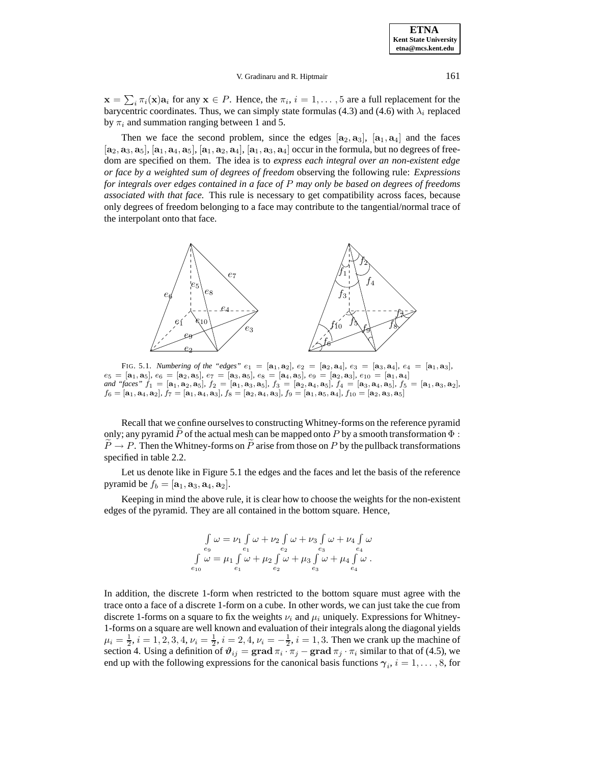### V. Gradinaru and R. Hiptmair 161

 $\mathbf{x} = \sum_i \pi_i(\mathbf{x}) \mathbf{a}_i$  for any  $\mathbf{x} \in P$ . Hence, the  $\pi_i$ ,  $i = 1, \dots, 5$  are a full replacement for the barycentric coordinates. Thus, we can simply state formulas (4.3) and (4.6) with  $\lambda_i$  replaced by  $\pi_i$  and summation ranging between 1 and 5.

Then we face the second problem, since the edges  $[a_2, a_3]$ ,  $[a_1, a_4]$  and the faces  $[a_2, a_3, a_5]$ ,  $[a_1, a_4, a_5]$ ,  $[a_1, a_2, a_4]$ ,  $[a_1, a_3, a_4]$  occur in the formula, but no degrees of freedom are specified on them. The idea is to *express each integral over an non-existent edge or face by a weighted sum of degrees of freedom* observing the following rule: *Expressions for integrals over edges contained in a face of* P *may only be based on degrees of freedoms associated with that face*. This rule is necessary to get compatibility across faces, because only degrees of freedom belonging to a face may contribute to the tangential/normal trace of the interpolant onto that face.



FIG. 5.1. *Numbering of the "edges"*  $e_1 = [\mathbf{a}_1, \mathbf{a}_2], e_2 = [\mathbf{a}_2, \mathbf{a}_4], e_3 = [\mathbf{a}_3, \mathbf{a}_4], e_4 = [\mathbf{a}_1, \mathbf{a}_3]$ ,  $e_5 = [\mathbf{a}_1, \mathbf{a}_5], e_6 = [\mathbf{a}_2, \mathbf{a}_5], e_7 = [\mathbf{a}_3, \mathbf{a}_5], e_8 = [\mathbf{a}_4, \mathbf{a}_5], e_9 = [\mathbf{a}_2, \mathbf{a}_3], e_{10} = [\mathbf{a}_1, \mathbf{a}_4]$ and "faces"  $f_1 = [\mathbf{a}_1, \mathbf{a}_2, \mathbf{a}_5]$ ,  $f_2 = [\mathbf{a}_1, \mathbf{a}_3, \mathbf{a}_5]$ ,  $f_3 = [\mathbf{a}_2, \mathbf{a}_4, \mathbf{a}_5]$ ,  $f_4 = [\mathbf{a}_3, \mathbf{a}_4, \mathbf{a}_5]$ ,  $f_5 = [\mathbf{a}_1, \mathbf{a}_3, \mathbf{a}_2]$ ,  $f_6 = [\mathbf{a}_1, \mathbf{a}_4, \mathbf{a}_2], f_7 = [\mathbf{a}_1, \mathbf{a}_4, \mathbf{a}_3], f_8 = [\mathbf{a}_2, \mathbf{a}_4, \mathbf{a}_3], f_9 = [\mathbf{a}_1, \mathbf{a}_5, \mathbf{a}_4], f_{10} = [\mathbf{a}_2, \mathbf{a}_3, \mathbf{a}_5]$ 

Recall that we confine ourselves to constructing Whitney-forms on the reference pyramid only; any pyramid  $P$  of the actual mesh can be mapped onto  $P$  by a smooth transformation  $\Phi$  :  $P \rightarrow P$ . Then the Whitney-forms on P arise from those on P by the pullback transformations specified in table 2.2.

Let us denote like in Figure 5.1 the edges and the faces and let the basis of the reference pyramid be  $f_b = [\mathbf{a}_1, \mathbf{a}_3, \mathbf{a}_4, \mathbf{a}_2]$ .

Keeping in mind the above rule, it is clear how to choose the weights for the non-existent edges of the pyramid. They are all contained in the bottom square. Hence,

$$
\int_{e_9} \omega = \nu_1 \int_{e_1} \omega + \nu_2 \int_{e_2} \omega + \nu_3 \int_{e_3} \omega + \nu_4 \int_{e_4} \omega
$$
  

$$
\int_{e_{10}} \omega = \mu_1 \int_{e_1} \omega + \mu_2 \int_{e_2} \omega + \mu_3 \int_{e_3} \omega + \mu_4 \int_{e_4} \omega.
$$

In addition, the discrete 1-form when restricted to the bottom square must agree with the trace onto a face of a discrete 1-form on a cube. In other words, we can just take the cue from discrete 1-forms on a square to fix the weights  $\nu_i$  and  $\mu_i$  uniquely. Expressions for Whitney-1-forms on a square are well known and evaluation of their integrals along the diagonal yields  $\mu_i = \frac{1}{2}, i = 1, 2, 3, 4, \nu_i = \frac{1}{2}, i = 2, 4, \nu_i = -\frac{1}{2}, i = 1, 3$ . Then we crank up the machine of section 4. Using a definition of  $\vartheta_{ij} = \text{grad } \pi_i \cdot \pi_j - \text{grad } \pi_j \cdot \pi_i$  similar to that of (4.5), we end up with the following expressions for the canonical basis functions  $\gamma_i$ ,  $i = 1, \ldots, 8$ , for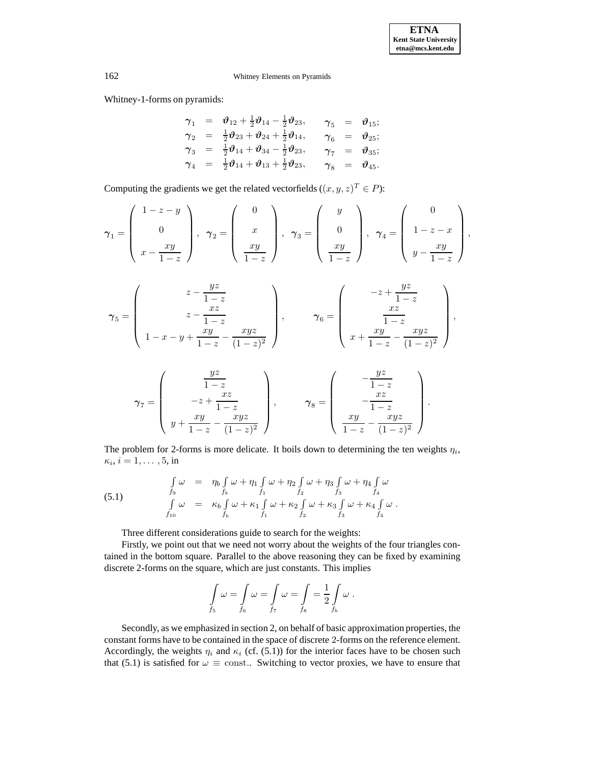Whitney-1-forms on pyramids:

$$
\begin{array}{rcl}\n\gamma_1 &=& \vartheta_{12} + \frac{1}{2}\vartheta_{14} - \frac{1}{2}\vartheta_{23}, & \gamma_5 &=& \vartheta_{15}; \\
\gamma_2 &=& \frac{1}{2}\vartheta_{23} + \vartheta_{24} + \frac{1}{2}\vartheta_{14}, & \gamma_6 &=& \vartheta_{25}; \\
\gamma_3 &=& \frac{1}{2}\vartheta_{14} + \vartheta_{34} - \frac{1}{2}\vartheta_{23}, & \gamma_7 &=& \vartheta_{35}; \\
\gamma_4 &=& \frac{1}{2}\vartheta_{14} + \vartheta_{13} + \frac{1}{2}\vartheta_{23}, & \gamma_8 &=& \vartheta_{45}.\n\end{array}
$$

Computing the gradients we get the related vectorfields  $((x, y, z)^T \in P)$ :

$$
\gamma_1 = \begin{pmatrix} 1 - z - y \\ 0 \\ x - \frac{xy}{1 - z} \end{pmatrix}, \quad \gamma_2 = \begin{pmatrix} 0 \\ x \\ \frac{xy}{1 - z} \end{pmatrix}, \quad \gamma_3 = \begin{pmatrix} y \\ 0 \\ \frac{xy}{1 - z} \end{pmatrix}, \quad \gamma_4 = \begin{pmatrix} 0 \\ 1 - z - x \\ y - \frac{xy}{1 - z} \end{pmatrix},
$$

$$
\gamma_5 = \left(\begin{array}{c} z - \frac{yz}{1-z} \\ z - \frac{xz}{1-z} \\ 1 - x - y + \frac{xy}{1-z} - \frac{xyz}{(1-z)^2} \end{array}\right), \qquad \gamma_6 = \left(\begin{array}{c} -z + \frac{yz}{1-z} \\ \frac{xz}{1-z} \\ x + \frac{xy}{1-z} - \frac{xyz}{(1-z)^2} \end{array}\right),
$$

$$
\gamma_7 = \left(\begin{array}{c}yz \\ 1-z \\ -z + \frac{xz}{1-z} \\ y + \frac{xy}{1-z} - \frac{xyz}{(1-z)^2} \end{array}\right), \qquad \gamma_8 = \left(\begin{array}{c} -\frac{yz}{1-z} \\ -\frac{xz}{1-z} \\ \frac{xy}{1-z} - \frac{xyz}{(1-z)^2} \end{array}\right).
$$

The problem for 2-forms is more delicate. It boils down to determining the ten weights  $\eta_i$ ,  $\kappa_i, i = 1, \ldots, 5, \text{in}$ 

(5.1) 
$$
\int_{f_9} \omega = \eta_b \int_{f_b} \omega + \eta_1 \int_{f_1} \omega + \eta_2 \int_{f_2} \omega + \eta_3 \int_{f_3} \omega + \eta_4 \int_{f_4} \omega   
\n\int_{f_{10}} \omega = \kappa_b \int_{f_b} \omega + \kappa_1 \int_{f_1} \omega + \kappa_2 \int_{f_2} \omega + \kappa_3 \int_{f_3} \omega + \kappa_4 \int_{f_4} \omega   
\n\int_{f_1} \omega + \kappa_4 \int_{f_1} \omega + \kappa_5 \int_{f_2} \omega + \kappa_6 \int_{f_1} \omega + \kappa_7 \int_{f_2} \omega   
\n\int_{f_1} \omega + \kappa_8 \int_{f_1} \omega + \kappa_9 \int_{f_2} \omega   
\n\int_{f_1} \omega   
\n\int_{f_2} \omega   
\n\int_{f_1} \omega + \kappa_9 \int_{f_2} \omega   
\n\int_{f_1} \omega   
\n\int_{f_2} \omega   
\n\int_{f_2} \omega   
\n\int_{f_1} \omega   
\n\int_{f_2} \omega   
\n\int_{f_2} \omega   
\n\int_{f_3} \omega   
\n\int_{f_4} \omega   
\n\int_{f_5} \omega   
\n\int_{f_6} \omega   
\n\int_{f_7} \omega   
\n\int_{f_8} \omega   
\n\int_{f_9} \omega   
\n\int_{f_9} \omega   
\n\int_{f_1} \omega   
\n\int_{f_2} \omega   
\n\int_{f_1} \omega   
\n\int_{f_2} \omega   
\n\int_{f_1} \omega   
\n\int_{f_2} \omega   
\n\int_{f_1} \omega   
\n\int_{f_2} \omega   
\n\int_{f_3} \omega   
\n\int_{f_4} \omega   
\n\int_{f_5} \omega   
\n\int_{f_6} \omega   
\n\int_{f_7} \omega   
\n\int_{f_8} \omega   
\n\int_{f_9} \omega   
\n\int_{f_9} \omega   
\n\int_{f_1} \omega   
\n\int_{f_2} \omega   
\n\
$$

Three different considerations guide to search for the weights:

Firstly, we point out that we need not worry about the weights of the four triangles contained in the bottom square. Parallel to the above reasoning they can be fixed by examining discrete 2-forms on the square, which are just constants. This implies

$$
\int_{f_5} \omega = \int_{f_6} \omega = \int_{f_7} \omega = \int_{f_8} = \frac{1}{2} \int_{f_b} \omega.
$$

Secondly, as we emphasized in section 2, on behalf of basic approximation properties, the constant forms have to be contained in the space of discrete 2-forms on the reference element. Accordingly, the weights  $\eta_i$  and  $\kappa_i$  (cf. (5.1)) for the interior faces have to be chosen such that (5.1) is satisfied for  $\omega \equiv \text{const.}$  Switching to vector proxies, we have to ensure that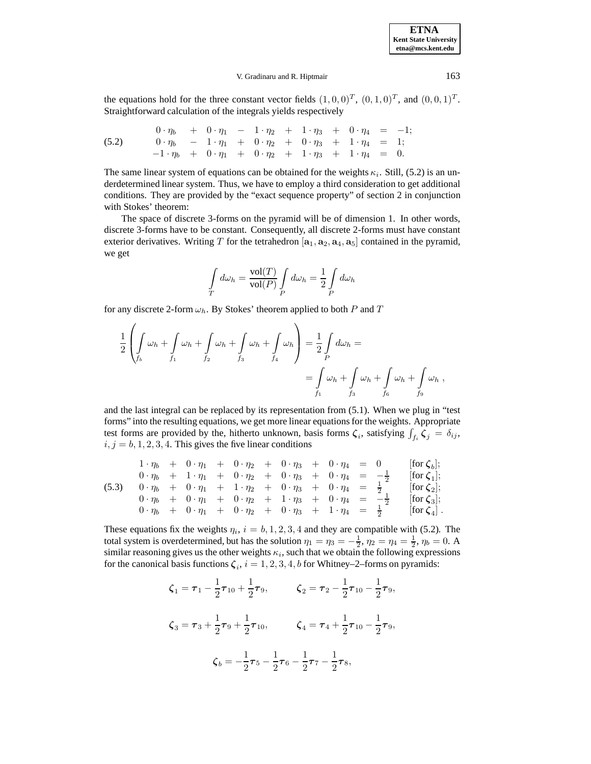## V. Gradinaru and R. Hiptmair 163

the equations hold for the three constant vector fields  $(1, 0, 0)^T$ ,  $(0, 1, 0)^T$ , and  $(0, 0, 1)^T$ . Straightforward calculation of the integrals yields respectively

(5.2) 
$$
0 \cdot \eta_b + 0 \cdot \eta_1 - 1 \cdot \eta_2 + 1 \cdot \eta_3 + 0 \cdot \eta_4 = -1;
$$

$$
0 \cdot \eta_b - 1 \cdot \eta_1 + 0 \cdot \eta_2 + 0 \cdot \eta_3 + 1 \cdot \eta_4 = 1;
$$

$$
-1 \cdot \eta_b + 0 \cdot \eta_1 + 0 \cdot \eta_2 + 1 \cdot \eta_3 + 1 \cdot \eta_4 = 0.
$$

The same linear system of equations can be obtained for the weights  $\kappa_i$ . Still, (5.2) is an underdetermined linear system. Thus, we have to employ a third consideration to get additional conditions. They are provided by the "exact sequence property" of section 2 in conjunction with Stokes' theorem:

The space of discrete 3-forms on the pyramid will be of dimension 1. In other words, discrete 3-forms have to be constant. Consequently, all discrete 2-forms must have constant exterior derivatives. Writing T for the tetrahedron  $[\mathbf{a}_1, \mathbf{a}_2, \mathbf{a}_4, \mathbf{a}_5]$  contained in the pyramid, we get

$$
\int_{T} d\omega_{h} = \frac{\text{vol}(T)}{\text{vol}(P)} \int_{P} d\omega_{h} = \frac{1}{2} \int_{P} d\omega_{h}
$$

for any discrete 2-form  $\omega_h$ . By Stokes' theorem applied to both P and T

$$
\frac{1}{2} \left( \int_{f_b} \omega_h + \int_{f_1} \omega_h + \int_{f_2} \omega_h + \int_{f_3} \omega_h \right) = \frac{1}{2} \int_{P} d\omega_h =
$$
\n
$$
= \int_{f_1} \omega_h + \int_{f_3} \omega_h + \int_{f_6} \omega_h + \int_{f_9} \omega_h,
$$

and the last integral can be replaced by its representation from (5.1). When we plug in "test forms" into the resulting equations, we get more linear equations for the weights. Appropriate test forms are provided by the, hitherto unknown, basis forms  $\zeta_i$ , satisfying  $\int_{f_i} \zeta_j = \delta_{ij}$ ,  $i, j = b, 1, 2, 3, 4$ . This gives the five linear conditions

$$
\begin{array}{ccccccccc}\n1 \cdot \eta_b & + & 0 \cdot \eta_1 & + & 0 \cdot \eta_2 & + & 0 \cdot \eta_3 & + & 0 \cdot \eta_4 & = & 0 & \text{[for } \zeta_b]; \\
0 \cdot \eta_b & + & 1 \cdot \eta_1 & + & 0 \cdot \eta_2 & + & 0 \cdot \eta_3 & + & 0 \cdot \eta_4 & = & -\frac{1}{2} & \text{[for } \zeta_1]; \\
(5.3) & 0 \cdot \eta_b & + & 0 \cdot \eta_1 & + & 1 \cdot \eta_2 & + & 0 \cdot \eta_3 & + & 0 \cdot \eta_4 & = & \frac{1}{2} & \text{[for } \zeta_2]; \\
0 \cdot \eta_b & + & 0 \cdot \eta_1 & + & 0 \cdot \eta_2 & + & 1 \cdot \eta_3 & + & 0 \cdot \eta_4 & = & -\frac{1}{2} & \text{[for } \zeta_3]; \\
0 \cdot \eta_b & + & 0 \cdot \eta_1 & + & 0 \cdot \eta_2 & + & 0 \cdot \eta_3 & + & 1 \cdot \eta_4 & = & \frac{1}{2} & \text{[for } \zeta_4].\n\end{array}
$$

These equations fix the weights  $\eta_i$ ,  $i = b, 1, 2, 3, 4$  and they are compatible with (5.2). The total system is overdetermined, but has the solution  $\eta_1 = \eta_3 = -\frac{1}{2}$ ,  $\eta_2 = \eta_4 = \frac{1}{2}$ ,  $\eta_b = 0$ . A similar reasoning gives us the other weights  $\kappa_i$ , such that we obtain the following expressions for the canonical basis functions  $\zeta_i$ ,  $i = 1, 2, 3, 4, b$  for Whitney–2–forms on pyramids:

$$
\zeta_1 = \tau_1 - \frac{1}{2}\tau_{10} + \frac{1}{2}\tau_9, \qquad \zeta_2 = \tau_2 - \frac{1}{2}\tau_{10} - \frac{1}{2}\tau_9,
$$
  

$$
\zeta_3 = \tau_3 + \frac{1}{2}\tau_9 + \frac{1}{2}\tau_{10}, \qquad \zeta_4 = \tau_4 + \frac{1}{2}\tau_{10} - \frac{1}{2}\tau_9,
$$
  

$$
\zeta_b = -\frac{1}{2}\tau_5 - \frac{1}{2}\tau_6 - \frac{1}{2}\tau_7 - \frac{1}{2}\tau_8,
$$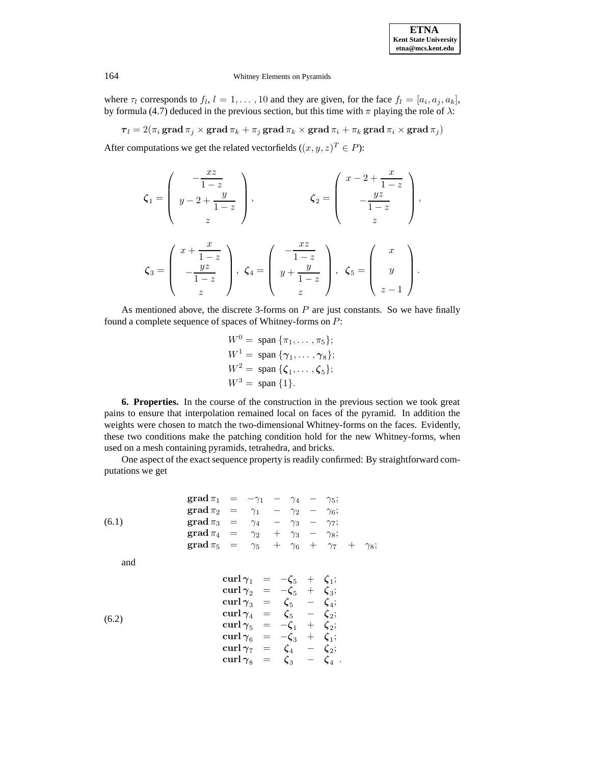where  $\tau_l$  corresponds to  $f_l$ ,  $l = 1, \ldots, 10$  and they are given, for the face  $f_l = [a_i, a_j, a_k]$ , by formula (4.7) deduced in the previous section, but this time with  $\pi$  playing the role of  $\lambda$ :

 $\tau_l = 2(\pi_i \operatorname{grad} \pi_j \times \operatorname{grad} \pi_k + \pi_j \operatorname{grad} \pi_k \times \operatorname{grad} \pi_i + \pi_k \operatorname{grad} \pi_i \times \operatorname{grad} \pi_j)$ 

After computations we get the related vectorfields  $((x, y, z)^T \in P)$ :

$$
\zeta_1 = \begin{pmatrix} -\frac{xz}{1-z} \\ y-2+\frac{y}{1-z} \\ z \end{pmatrix}, \qquad \zeta_2 = \begin{pmatrix} x-2+\frac{x}{1-z} \\ -\frac{yz}{1-z} \\ z \end{pmatrix},
$$

$$
\zeta_3 = \begin{pmatrix} x+\frac{x}{1-z} \\ -\frac{yz}{1-z} \\ z \end{pmatrix}, \ \zeta_4 = \begin{pmatrix} -\frac{xz}{1-z} \\ y+\frac{y}{1-z} \\ z \end{pmatrix}, \ \zeta_5 = \begin{pmatrix} x \\ y \\ z-1 \end{pmatrix}.
$$

As mentioned above, the discrete 3-forms on  $P$  are just constants. So we have finally found a complete sequence of spaces of Whitney-forms on P:

$$
W^{0} = \text{span} \{\pi_{1}, \dots, \pi_{5}\};
$$
  
\n
$$
W^{1} = \text{span} \{\gamma_{1}, \dots, \gamma_{8}\};
$$
  
\n
$$
W^{2} = \text{span} \{\zeta_{1}, \dots, \zeta_{5}\};
$$
  
\n
$$
W^{3} = \text{span} \{1\}.
$$

**6. Properties.** In the course of the construction in the previous section we took great pains to ensure that interpolation remained local on faces of the pyramid. In addition the weights were chosen to match the two-dimensional Whitney-forms on the faces. Evidently, these two conditions make the patching condition hold for the new Whitney-forms, when used on a mesh containing pyramids, tetrahedra, and bricks.

One aspect of the exact sequence property is readily confirmed: By straightforward computations we get

(6.1) grad 
$$
\pi_1 = -\gamma_1 - \gamma_4 - \gamma_5
$$
;  
\ngrad  $\pi_2 = \gamma_1 - \gamma_2 - \gamma_6$ ;  
\ngrad  $\pi_3 = \gamma_4 - \gamma_3 - \gamma_7$ ;  
\ngrad  $\pi_4 = \gamma_2 + \gamma_3 - \gamma_8$ ;  
\ngrad  $\pi_5 = \gamma_5 + \gamma_6 + \gamma_7 + \gamma_8$ ;

and

(6.2)  
\n
$$
\begin{array}{rcl}\n\text{curl } \gamma_1 &=& -\zeta_5 + \zeta_1; \\
\text{curl } \gamma_2 &=& -\zeta_5 + \zeta_3; \\
\text{curl } \gamma_3 &=& \zeta_5 - \zeta_4; \\
\text{curl } \gamma_4 &=& \zeta_5 - \zeta_2; \\
\text{curl } \gamma_5 &=& -\zeta_1 + \zeta_2; \\
\text{curl } \gamma_6 &=& -\zeta_3 + \zeta_1; \\
\text{curl } \gamma_7 &=& \zeta_4 - \zeta_2; \\
\text{curl } \gamma_8 &=& \zeta_3 - \zeta_4 \ .\n\end{array}
$$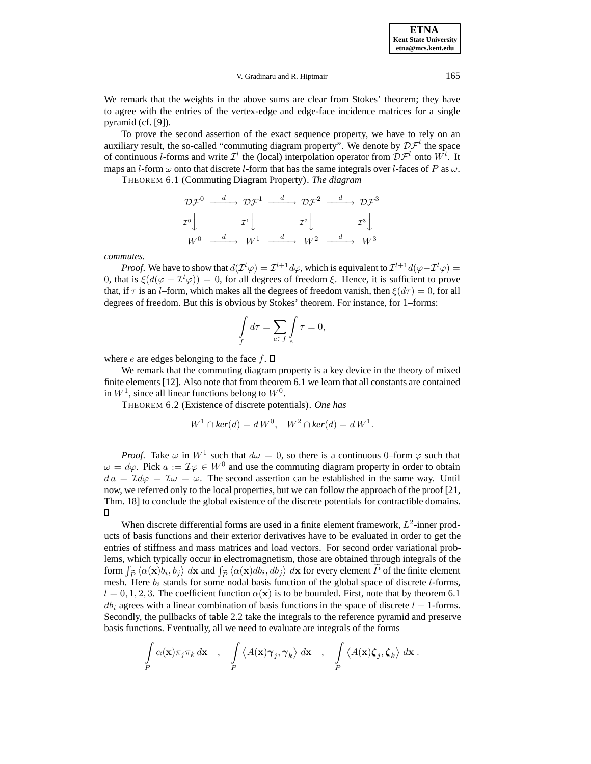V. Gradinaru and R. Hiptmair 165

We remark that the weights in the above sums are clear from Stokes' theorem; they have to agree with the entries of the vertex-edge and edge-face incidence matrices for a single pyramid (cf. [9]).

To prove the second assertion of the exact sequence property, we have to rely on an auxiliary result, the so-called "commuting diagram property". We denote by  $\mathcal{DF}^{l}$  the space of continuous *l*-forms and write  $\mathcal{I}^l$  the (local) interpolation operator from  $\mathcal{D}\mathcal{F}^l$  onto  $W^l$ . It maps an *l*-form  $\omega$  onto that discrete *l*-form that has the same integrals over *l*-faces of P as  $\omega$ .

THEOREM 6.1 (Commuting Diagram Property). *The diagram*

$$
\mathcal{DF}^0 \xrightarrow{d} \mathcal{DF}^1 \xrightarrow{d} \mathcal{DF}^2 \xrightarrow{d} \mathcal{DF}^3
$$
  

$$
T^0 \downarrow \qquad T^1 \downarrow \qquad T^2 \downarrow \qquad T^3 \downarrow
$$
  

$$
W^0 \xrightarrow{d} W^1 \xrightarrow{d} W^2 \xrightarrow{d} W^3
$$

*commutes.*

*Proof.* We have to show that  $d(\mathcal{I}^l \varphi) = \mathcal{I}^{l+1} d\varphi$ , which is equivalent to  $\mathcal{I}^{l+1} d(\varphi - \mathcal{I}^l \varphi) =$ 0, that is  $\xi(d(\varphi - \mathcal{I}^l\varphi)) = 0$ , for all degrees of freedom  $\xi$ . Hence, it is sufficient to prove that, if  $\tau$  is an *l*–form, which makes all the degrees of freedom vanish, then  $\xi(d\tau)=0$ , for all degrees of freedom. But this is obvious by Stokes' theorem. For instance, for 1–forms:

$$
\int_{f} d\tau = \sum_{e \in f} \int_{e} \tau = 0,
$$

where e are edges belonging to the face  $f$ .  $\Box$ 

We remark that the commuting diagram property is a key device in the theory of mixed finite elements [12]. Also note that from theorem 6.1 we learn that all constants are contained in  $W^1$ , since all linear functions belong to  $W^0$ .

THEOREM 6.2 (Existence of discrete potentials). *One has*

$$
W^1 \cap \ker(d) = d W^0, \quad W^2 \cap \ker(d) = d W^1.
$$

*Proof.* Take  $\omega$  in  $W^1$  such that  $d\omega = 0$ , so there is a continuous 0–form  $\varphi$  such that  $\omega = d\varphi$ . Pick  $a := \mathcal{I}\varphi \in W^0$  and use the commuting diagram property in order to obtain  $da = \mathcal{I}d\varphi = \mathcal{I}\omega = \omega$ . The second assertion can be established in the same way. Until now, we referred only to the local properties, but we can follow the approach of the proof [21, Thm. 18] to conclude the global existence of the discrete potentials for contractible domains.  $\Box$ 

When discrete differential forms are used in a finite element framework,  $L^2$ -inner products of basis functions and their exterior derivatives have to be evaluated in order to get the entries of stiffness and mass matrices and load vectors. For second order variational problems, which typically occur in electromagnetism, those are obtained through integrals of the form  $\int_{\tilde{P}} \langle \alpha(\mathbf{x})b_i, b_j \rangle dx$  and  $\int_{\tilde{P}} \langle \alpha(\mathbf{x})db_i, db_j \rangle dx$  for every element P of the finite element mesh. Here  $b_i$  stands for some nodal basis function of the global space of discrete *l*-forms,  $l = 0, 1, 2, 3$ . The coefficient function  $\alpha(\mathbf{x})$  is to be bounded. First, note that by theorem 6.1  $db<sub>i</sub>$  agrees with a linear combination of basis functions in the space of discrete  $l + 1$ -forms. Secondly, the pullbacks of table 2.2 take the integrals to the reference pyramid and preserve basis functions. Eventually, all we need to evaluate are integrals of the forms

$$
\int_{P} \alpha(\mathbf{x}) \pi_j \pi_k d\mathbf{x} , \quad \int_{P} \langle A(\mathbf{x}) \gamma_j, \gamma_k \rangle d\mathbf{x} , \quad \int_{P} \langle A(\mathbf{x}) \zeta_j, \zeta_k \rangle d\mathbf{x} .
$$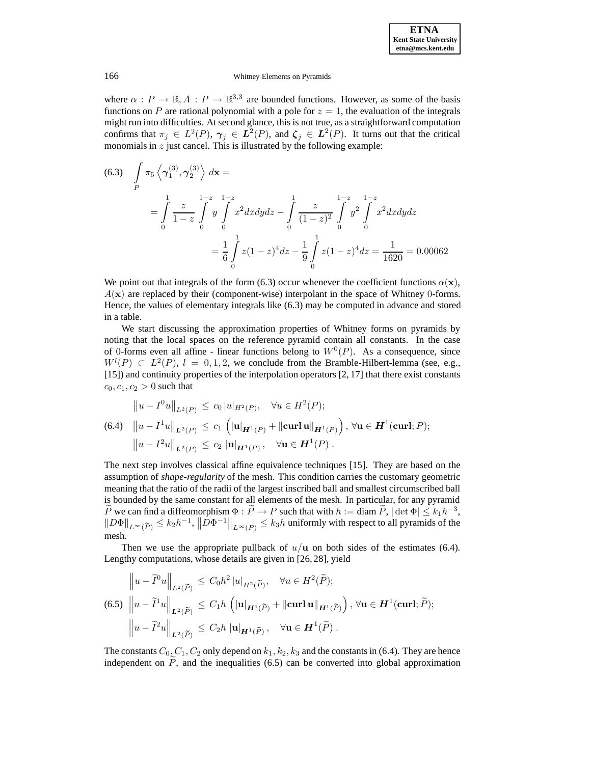where  $\alpha : P \to \mathbb{R}, A : P \to \mathbb{R}^{3,3}$  are bounded functions. However, as some of the basis functions on P are rational polynomial with a pole for  $z = 1$ , the evaluation of the integrals might run into difficulties. At second glance, this is not true, as a straightforward computation confirms that  $\pi_j \in L^2(P)$ ,  $\gamma_j \in L^2(P)$ , and  $\zeta_j \in L^2(P)$ . It turns out that the critical monomials in  $z$  just cancel. This is illustrated by the following example:

$$
(6.3) \quad \int_{P} \pi_{5} \left\langle \gamma_{1}^{(3)}, \gamma_{2}^{(3)} \right\rangle dx =
$$
\n
$$
= \int_{0}^{1} \frac{z}{1-z} \int_{0}^{1-z} y \int_{0}^{1-z} x^{2} dx dy dz - \int_{0}^{1} \frac{z}{(1-z)^{2}} \int_{0}^{1-z} y^{2} \int_{0}^{1-z} x^{2} dx dy dz
$$
\n
$$
= \frac{1}{6} \int_{0}^{1} z(1-z)^{4} dz - \frac{1}{9} \int_{0}^{1} z(1-z)^{4} dz = \frac{1}{1620} = 0.00062
$$

We point out that integrals of the form (6.3) occur whenever the coefficient functions  $\alpha(\mathbf{x})$ ,  $A(x)$  are replaced by their (component-wise) interpolant in the space of Whitney 0-forms. Hence, the values of elementary integrals like (6.3) may be computed in advance and stored in a table.

We start discussing the approximation properties of Whitney forms on pyramids by noting that the local spaces on the reference pyramid contain all constants. In the case of 0-forms even all affine - linear functions belong to  $W^0(P)$ . As a consequence, since  $W^l(P) \subset L^2(P), l = 0, 1, 2$ , we conclude from the Bramble-Hilbert-lemma (see, e.g., [15]) and continuity properties of the interpolation operators [2, 17] that there exist constants  $c_0, c_1, c_2 > 0$  such that

$$
||u - I^0u||_{L^2(P)} \le c_0 |u|_{H^2(P)}, \quad \forall u \in H^2(P);
$$
  
(6.4) 
$$
||u - I^1u||_{L^2(P)} \le c_1 \left( |u|_{H^1(P)} + ||curl u||_{H^1(P)} \right), \forall u \in H^1(\text{curl}; P);
$$
  

$$
||u - I^2u||_{L^2(P)} \le c_2 |u|_{H^1(P)}, \quad \forall u \in H^1(P).
$$

The next step involves classical affine equivalence techniques [15]. They are based on the assumption of *shape-regularity* of the mesh. This condition carries the customary geometric meaning that the ratio of the radii of the largest inscribed ball and smallest circumscribed ball is bounded by the same constant for all elements of the mesh. In particular, for any pyramid P we can find a diffeomorphism  $\Phi : \tilde{P} \to P$  such that with  $h := \text{diam } \tilde{P}$ ,  $|\det \Phi| \leq k_1 h^{-3}$ ,  $\|D\Phi\|_{L^{\infty}(\tilde{P})} \leq k_2 h^{-1},$   $\|D\Phi^{-1}\|_{L^{\infty}(P)} \leq k_3 h$  uniformly with respect to all pyramids of the mesh.

Then we use the appropriate pullback of  $u/u$  on both sides of the estimates (6.4). Lengthy computations, whose details are given in [26, 28], yield

$$
\|u - \tilde{I}^0 u\|_{L^2(\tilde{P})} \le C_0 h^2 |u|_{H^2(\tilde{P})}, \quad \forall u \in H^2(\tilde{P});
$$
  
(6.5) 
$$
\|u - \tilde{I}^1 u\|_{L^2(\tilde{P})} \le C_1 h \left( |\mathbf{u}|_{H^1(\tilde{P})} + \|\mathbf{curl}\,\mathbf{u}\|_{H^1(\tilde{P})} \right), \forall \mathbf{u} \in H^1(\mathbf{curl}; \tilde{P});
$$

$$
\|u - \tilde{I}^2 u\|_{L^2(\tilde{P})} \le C_2 h |u|_{H^1(\tilde{P})}, \quad \forall \mathbf{u} \in H^1(\tilde{P}).
$$

The constants  $C_0, C_1, C_2$  only depend on  $k_1, k_2, k_3$  and the constants in (6.4). They are hence independent on  $P$ , and the inequalities (6.5) can be converted into global approximation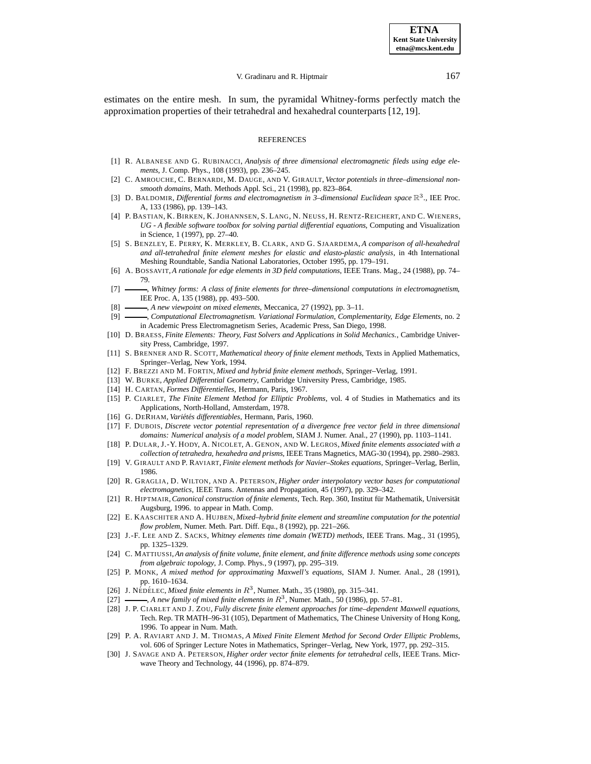### V. Gradinaru and R. Hiptmair 167

estimates on the entire mesh. In sum, the pyramidal Whitney-forms perfectly match the approximation properties of their tetrahedral and hexahedral counterparts [12, 19].

### REFERENCES

- [1] R. ALBANESE AND G. RUBINACCI, *Analysis of three dimensional electromagnetic fileds using edge elements*, J. Comp. Phys., 108 (1993), pp. 236–245.
- [2] C. AMROUCHE, C. BERNARDI, M. DAUGE, AND V. GIRAULT, *Vector potentials in three–dimensional nonsmooth domains*, Math. Methods Appl. Sci., 21 (1998), pp. 823–864.
- [3] D. BALDOMIR, *Differential forms and electromagnetism in 3–dimensional Euclidean space*  $\mathbb{R}^3$ ., IEE Proc. A, 133 (1986), pp. 139–143.
- [4] P. BASTIAN, K. BIRKEN, K. JOHANNSEN, S. LANG, N. NEUSS, H. RENTZ-REICHERT, AND C. WIENERS, *UG - A flexible software toolbox for solving partial differential equations*, Computing and Visualization in Science, 1 (1997), pp. 27–40.
- [5] S. BENZLEY, E. PERRY, K. MERKLEY, B. CLARK, AND G. SJAARDEMA, *A comparison of all-hexahedral and all-tetrahedral finite element meshes for elastic and elasto-plastic analysis*, in 4th International Meshing Roundtable, Sandia National Laboratories, October 1995, pp. 179–191.
- [6] A. BOSSAVIT, *A rationale for edge elements in 3D field computations*, IEEE Trans. Mag., 24 (1988), pp. 74– 79.
- [7] **........**, *Whitney forms: A class of finite elements for three–dimensional computations in electromagnetism*, IEE Proc. A, 135 (1988), pp. 493–500.
- [8]  $\longrightarrow$ , *A new viewpoint on mixed elements*, Meccanica, 27 (1992), pp. 3–11.
- [9] , *Computational Electromagnetism. Variational Formulation, Complementarity, Edge Elements*, no. 2 in Academic Press Electromagnetism Series, Academic Press, San Diego, 1998.
- [10] D. BRAESS, *Finite Elements: Theory, Fast Solvers and Applications in Solid Mechanics.*, Cambridge University Press, Cambridge, 1997.
- [11] S. BRENNER AND R. SCOTT, *Mathematical theory of finite element methods*, Texts in Applied Mathematics, Springer–Verlag, New York, 1994.
- [12] F. BREZZI AND M. FORTIN, *Mixed and hybrid finite element methods*, Springer–Verlag, 1991.
- [13] W. BURKE, *Applied Differential Geometry*, Cambridge University Press, Cambridge, 1985.
- [14] H. CARTAN, *Formes Différentielles*, Hermann, Paris, 1967.
- [15] P. CIARLET, *The Finite Element Method for Elliptic Problems*, vol. 4 of Studies in Mathematics and its Applications, North-Holland, Amsterdam, 1978.
- [16] G. DERHAM, Variétés differentiables, Hermann, Paris, 1960.
- [17] F. DUBOIS, *Discrete vector potential representation of a divergence free vector field in three dimensional domains: Numerical analysis of a model problem*, SIAM J. Numer. Anal., 27 (1990), pp. 1103–1141.
- [18] P. DULAR, J.-Y. HODY, A. NICOLET, A. GENON, AND W. LEGROS, *Mixed finite elements associated with a collection of tetrahedra, hexahedra and prisms*, IEEE Trans Magnetics, MAG-30 (1994), pp. 2980–2983.
- [19] V. GIRAULT AND P. RAVIART, *Finite element methods for Navier–Stokes equations*, Springer–Verlag, Berlin, 1986.
- [20] R. GRAGLIA, D. WILTON, AND A. PETERSON, *Higher order interpolatory vector bases for computational electromagnetics*, IEEE Trans. Antennas and Propagation, 45 (1997), pp. 329–342.
- [21] R. HIPTMAIR, *Canonical construction of finite elements*, Tech. Rep. 360, Institut für Mathematik, Universität Augsburg, 1996. to appear in Math. Comp.
- [22] E. KAASCHITER AND A. HUJBEN, *Mixed–hybrid finite element and streamline computation for the potential flow problem*, Numer. Meth. Part. Diff. Equ., 8 (1992), pp. 221–266.
- [23] J.-F. LEE AND Z. SACKS, *Whitney elements time domain (WETD) methods*, IEEE Trans. Mag., 31 (1995), pp. 1325–1329.
- [24] C. MATTIUSSI,*An analysis of finite volume, finite element, and finite difference methods using some concepts from algebraic topology*, J. Comp. Phys., 9 (1997), pp. 295–319.
- [25] P. MONK, *A mixed method for approximating Maxwell's equations*, SIAM J. Numer. Anal., 28 (1991), pp. 1610–1634.
- [26] J. NÉDÉLEC, *Mixed finite elements in*  $R^3$ , Numer. Math., 35 (1980), pp. 315–341.
- [27] , *A new family of mixed finite elements in*  $R^3$ , Numer. Math., 50 (1986), pp. 57–81.
- [28] J. P. CIARLET AND J. ZOU, *Fully discrete finite element approaches for time–dependent Maxwell equations*, Tech. Rep. TR MATH–96-31 (105), Department of Mathematics, The Chinese University of Hong Kong, 1996. To appear in Num. Math.
- [29] P. A. RAVIART AND J. M. THOMAS, *A Mixed Finite Element Method for Second Order Elliptic Problems*, vol. 606 of Springer Lecture Notes in Mathematics, Springer–Verlag, New York, 1977, pp. 292–315.
- [30] J. SAVAGE AND A. PETERSON, *Higher order vector finite elements for tetrahedral cells*, IEEE Trans. Micrwave Theory and Technology, 44 (1996), pp. 874–879.